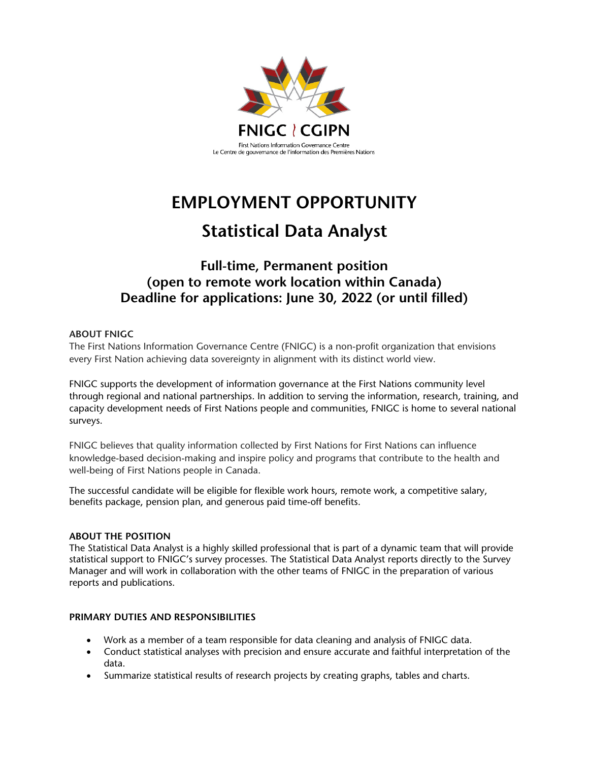

# **EMPLOYMENT OPPORTUNITY**

## **Statistical Data Analyst**

### **Full-time, Permanent position (open to remote work location within Canada) Deadline for applications: June 30, 2022 (or until filled)**

#### **ABOUT FNIGC**

The First Nations Information Governance Centre (FNIGC) is a non-profit organization that envisions every First Nation achieving data sovereignty in alignment with its distinct world view.

FNIGC supports the development of information governance at the First Nations community level through regional and national partnerships. In addition to serving the information, research, training, and capacity development needs of First Nations people and communities, FNIGC is home to several national surveys.

FNIGC believes that quality information collected by First Nations for First Nations can influence knowledge-based decision-making and inspire policy and programs that contribute to the health and well-being of First Nations people in Canada.

The successful candidate will be eligible for flexible work hours, remote work, a competitive salary, benefits package, pension plan, and generous paid time-off benefits.

#### **ABOUT THE POSITION**

The Statistical Data Analyst is a highly skilled professional that is part of a dynamic team that will provide statistical support to FNIGC's survey processes. The Statistical Data Analyst reports directly to the Survey Manager and will work in collaboration with the other teams of FNIGC in the preparation of various reports and publications.

#### **PRIMARY DUTIES AND RESPONSIBILITIES**

- Work as a member of a team responsible for data cleaning and analysis of FNIGC data.
- Conduct statistical analyses with precision and ensure accurate and faithful interpretation of the data.
- Summarize statistical results of research projects by creating graphs, tables and charts.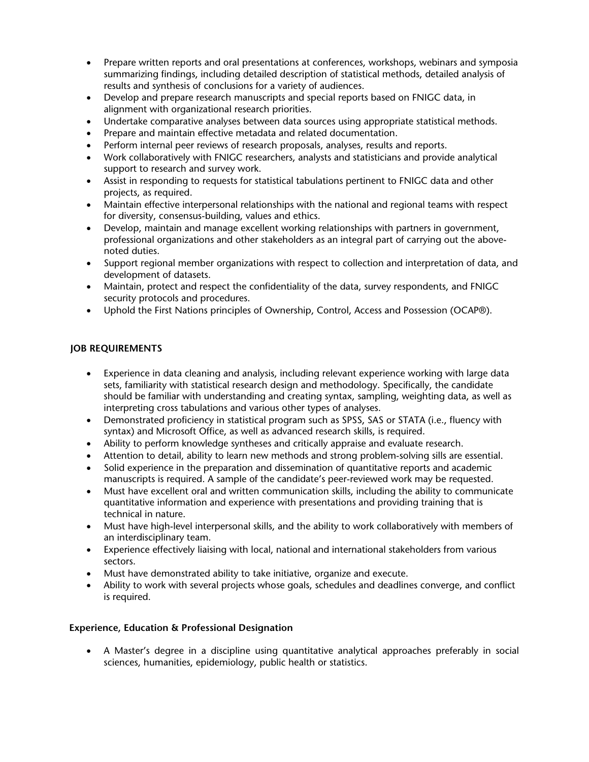- Prepare written reports and oral presentations at conferences, workshops, webinars and symposia summarizing findings, including detailed description of statistical methods, detailed analysis of results and synthesis of conclusions for a variety of audiences.
- Develop and prepare research manuscripts and special reports based on FNIGC data, in alignment with organizational research priorities.
- Undertake comparative analyses between data sources using appropriate statistical methods.
- Prepare and maintain effective metadata and related documentation.
- Perform internal peer reviews of research proposals, analyses, results and reports.
- Work collaboratively with FNIGC researchers, analysts and statisticians and provide analytical support to research and survey work.
- Assist in responding to requests for statistical tabulations pertinent to FNIGC data and other projects, as required.
- Maintain effective interpersonal relationships with the national and regional teams with respect for diversity, consensus-building, values and ethics.
- Develop, maintain and manage excellent working relationships with partners in government, professional organizations and other stakeholders as an integral part of carrying out the abovenoted duties.
- Support regional member organizations with respect to collection and interpretation of data, and development of datasets.
- Maintain, protect and respect the confidentiality of the data, survey respondents, and FNIGC security protocols and procedures.
- Uphold the First Nations principles of Ownership, Control, Access and Possession (OCAP®).

#### **JOB REQUIREMENTS**

- Experience in data cleaning and analysis, including relevant experience working with large data sets, familiarity with statistical research design and methodology. Specifically, the candidate should be familiar with understanding and creating syntax, sampling, weighting data, as well as interpreting cross tabulations and various other types of analyses.
- Demonstrated proficiency in statistical program such as SPSS, SAS or STATA (i.e., fluency with syntax) and Microsoft Office, as well as advanced research skills, is required.
- Ability to perform knowledge syntheses and critically appraise and evaluate research.
- Attention to detail, ability to learn new methods and strong problem-solving sills are essential.
- Solid experience in the preparation and dissemination of quantitative reports and academic manuscripts is required. A sample of the candidate's peer-reviewed work may be requested.
- Must have excellent oral and written communication skills, including the ability to communicate quantitative information and experience with presentations and providing training that is technical in nature.
- Must have high-level interpersonal skills, and the ability to work collaboratively with members of an interdisciplinary team.
- Experience effectively liaising with local, national and international stakeholders from various sectors.
- Must have demonstrated ability to take initiative, organize and execute.
- Ability to work with several projects whose goals, schedules and deadlines converge, and conflict is required.

#### **Experience, Education & Professional Designation**

• A Master's degree in a discipline using quantitative analytical approaches preferably in social sciences, humanities, epidemiology, public health or statistics.